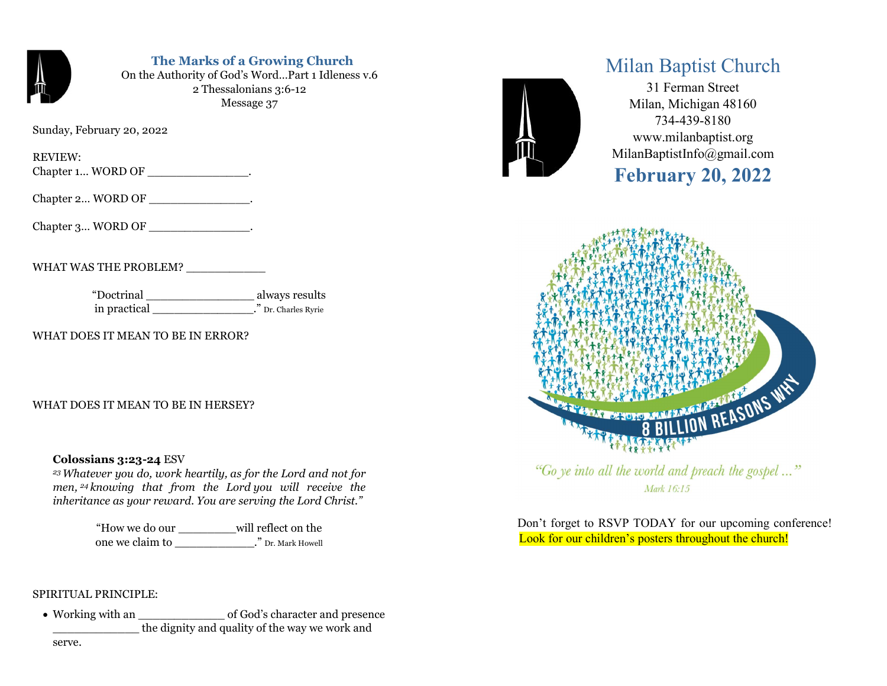

# The Marks of a Growing Church

On the Authority of God's Word…Part 1 Idleness v.6 2 Thessalonians 3:6-12 Message 37

Sunday, February 20, 2022

REVIEW:

Chapter 1... WORD OF \_\_\_\_\_\_\_\_\_\_\_\_\_\_\_.

Chapter 2... WORD OF  $\qquad \qquad$  .

Chapter 3... WORD OF \_\_\_\_\_\_\_\_\_\_\_\_\_\_.

WHAT WAS THE PROBLEM? \_\_\_\_\_\_\_\_\_\_\_

"Doctrinal \_\_\_\_\_\_\_\_\_\_\_\_\_\_\_ always results in practical \_\_\_\_\_\_\_\_\_\_\_\_\_\_." Dr. Charles Ryrie

WHAT DOES IT MEAN TO BE IN ERROR?

WHAT DOES IT MEAN TO BE IN HERSEY?

### Colossians 3:23-24 ESV

<sup>23</sup>Whatever you do, work heartily, as for the Lord and not for men, 24 knowing that from the Lord you will receive the inheritance as your reward. You are serving the Lord Christ."

> "How we do our \_\_\_\_\_\_\_\_will reflect on the one we claim to \_\_\_\_\_\_\_\_\_\_\_." Dr. Mark Howell

### SPIRITUAL PRINCIPLE:

• Working with an  $\bullet$  of God's character and presence \_\_\_\_\_\_\_\_\_\_\_\_ the dignity and quality of the way we work and



# Milan Baptist Church

31 Ferman Street Milan, Michigan 48160 734-439-8180 www.milanbaptist.org MilanBaptistInfo@gmail.com

# February 20, 2022



"Go ye into all the world and preach the gospel ..." Mark 16:15

 Don't forget to RSVP TODAY for our upcoming conference! Look for our children's posters throughout the church!

serve.